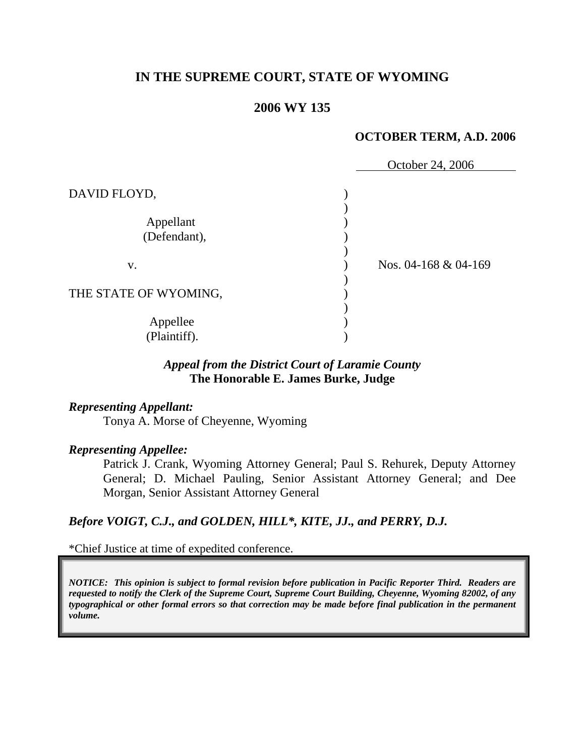# **IN THE SUPREME COURT, STATE OF WYOMING**

### **2006 WY 135**

#### **OCTOBER TERM, A.D. 2006**

|                           | October 24, 2006     |
|---------------------------|----------------------|
| DAVID FLOYD,              |                      |
| Appellant<br>(Defendant), |                      |
| V.                        | Nos. 04-168 & 04-169 |
| THE STATE OF WYOMING,     |                      |
| Appellee<br>(Plaintiff).  |                      |

# *Appeal from the District Court of Laramie County* **The Honorable E. James Burke, Judge**

#### *Representing Appellant:*

Tonya A. Morse of Cheyenne, Wyoming

#### *Representing Appellee:*

Patrick J. Crank, Wyoming Attorney General; Paul S. Rehurek, Deputy Attorney General; D. Michael Pauling, Senior Assistant Attorney General; and Dee Morgan, Senior Assistant Attorney General

# *Before VOIGT, C.J., and GOLDEN, HILL\*, KITE, JJ., and PERRY, D.J.*

\*Chief Justice at time of expedited conference.

*NOTICE: This opinion is subject to formal revision before publication in Pacific Reporter Third. Readers are requested to notify the Clerk of the Supreme Court, Supreme Court Building, Cheyenne, Wyoming 82002, of any typographical or other formal errors so that correction may be made before final publication in the permanent volume.*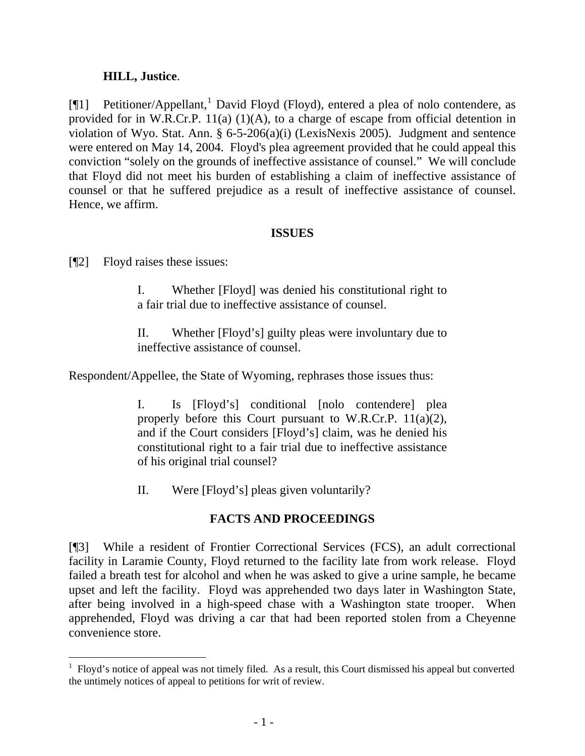### **HILL, Justice**.

[¶[1](#page-2-0)] Petitioner/Appellant,<sup>1</sup> David Floyd (Floyd), entered a plea of nolo contendere, as provided for in W.R.Cr.P. 11(a)  $(1)(A)$ , to a charge of escape from official detention in violation of Wyo. Stat. Ann. § 6-5-206(a)(i) (LexisNexis 2005). Judgment and sentence were entered on May 14, 2004. Floyd's plea agreement provided that he could appeal this conviction "solely on the grounds of ineffective assistance of counsel." We will conclude that Floyd did not meet his burden of establishing a claim of ineffective assistance of counsel or that he suffered prejudice as a result of ineffective assistance of counsel. Hence, we affirm.

### **ISSUES**

[¶2] Floyd raises these issues:

I. Whether [Floyd] was denied his constitutional right to a fair trial due to ineffective assistance of counsel.

II. Whether [Floyd's] guilty pleas were involuntary due to ineffective assistance of counsel.

Respondent/Appellee, the State of Wyoming, rephrases those issues thus:

I. Is [Floyd's] conditional [nolo contendere] plea properly before this Court pursuant to W.R.Cr.P. 11(a)(2), and if the Court considers [Floyd's] claim, was he denied his constitutional right to a fair trial due to ineffective assistance of his original trial counsel?

II. Were [Floyd's] pleas given voluntarily?

# **FACTS AND PROCEEDINGS**

[¶3] While a resident of Frontier Correctional Services (FCS), an adult correctional facility in Laramie County, Floyd returned to the facility late from work release. Floyd failed a breath test for alcohol and when he was asked to give a urine sample, he became upset and left the facility. Floyd was apprehended two days later in Washington State, after being involved in a high-speed chase with a Washington state trooper. When apprehended, Floyd was driving a car that had been reported stolen from a Cheyenne convenience store.

<span id="page-2-0"></span> $<sup>1</sup>$  Floyd's notice of appeal was not timely filed. As a result, this Court dismissed his appeal but converted</sup> the untimely notices of appeal to petitions for writ of review.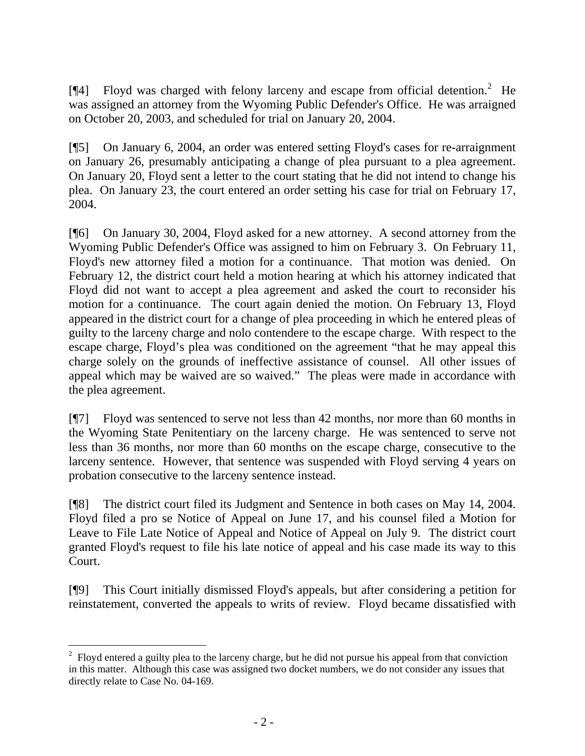[ $\llbracket 4$ ] Floyd was charged with felony larceny and escape from official detention.<sup>[2](#page-3-0)</sup> He was assigned an attorney from the Wyoming Public Defender's Office. He was arraigned on October 20, 2003, and scheduled for trial on January 20, 2004.

[¶5] On January 6, 2004, an order was entered setting Floyd's cases for re-arraignment on January 26, presumably anticipating a change of plea pursuant to a plea agreement. On January 20, Floyd sent a letter to the court stating that he did not intend to change his plea. On January 23, the court entered an order setting his case for trial on February 17, 2004.

[¶6] On January 30, 2004, Floyd asked for a new attorney. A second attorney from the Wyoming Public Defender's Office was assigned to him on February 3. On February 11, Floyd's new attorney filed a motion for a continuance. That motion was denied. On February 12, the district court held a motion hearing at which his attorney indicated that Floyd did not want to accept a plea agreement and asked the court to reconsider his motion for a continuance. The court again denied the motion. On February 13, Floyd appeared in the district court for a change of plea proceeding in which he entered pleas of guilty to the larceny charge and nolo contendere to the escape charge. With respect to the escape charge, Floyd's plea was conditioned on the agreement "that he may appeal this charge solely on the grounds of ineffective assistance of counsel. All other issues of appeal which may be waived are so waived." The pleas were made in accordance with the plea agreement.

[¶7] Floyd was sentenced to serve not less than 42 months, nor more than 60 months in the Wyoming State Penitentiary on the larceny charge. He was sentenced to serve not less than 36 months, nor more than 60 months on the escape charge, consecutive to the larceny sentence. However, that sentence was suspended with Floyd serving 4 years on probation consecutive to the larceny sentence instead.

[¶8] The district court filed its Judgment and Sentence in both cases on May 14, 2004. Floyd filed a pro se Notice of Appeal on June 17, and his counsel filed a Motion for Leave to File Late Notice of Appeal and Notice of Appeal on July 9. The district court granted Floyd's request to file his late notice of appeal and his case made its way to this Court.

[¶9] This Court initially dismissed Floyd's appeals, but after considering a petition for reinstatement, converted the appeals to writs of review. Floyd became dissatisfied with

<span id="page-3-0"></span> $2^2$  Floyd entered a guilty plea to the larceny charge, but he did not pursue his appeal from that conviction in this matter. Although this case was assigned two docket numbers, we do not consider any issues that directly relate to Case No. 04-169.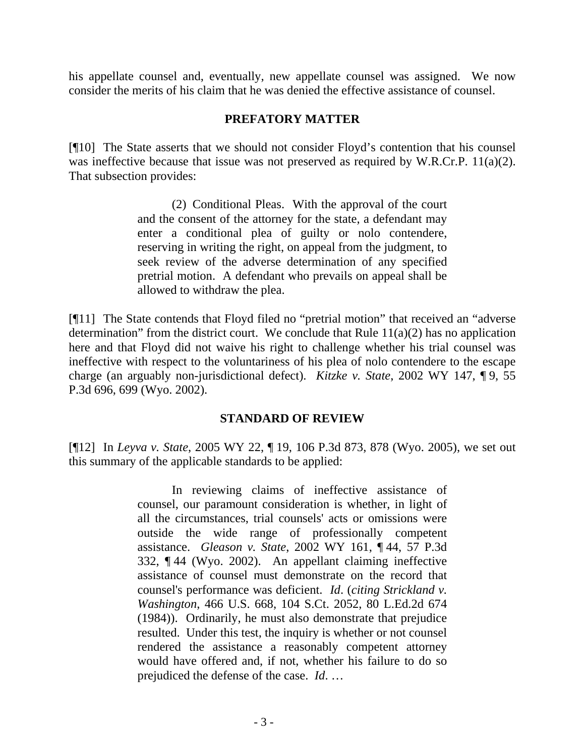his appellate counsel and, eventually, new appellate counsel was assigned. We now consider the merits of his claim that he was denied the effective assistance of counsel.

### **PREFATORY MATTER**

[¶10] The State asserts that we should not consider Floyd's contention that his counsel was ineffective because that issue was not preserved as required by W.R.Cr.P. 11(a)(2). That subsection provides:

> (2) Conditional Pleas. With the approval of the court and the consent of the attorney for the state, a defendant may enter a conditional plea of guilty or nolo contendere, reserving in writing the right, on appeal from the judgment, to seek review of the adverse determination of any specified pretrial motion. A defendant who prevails on appeal shall be allowed to withdraw the plea.

[¶11] The State contends that Floyd filed no "pretrial motion" that received an "adverse determination" from the district court. We conclude that Rule  $11(a)(2)$  has no application here and that Floyd did not waive his right to challenge whether his trial counsel was ineffective with respect to the voluntariness of his plea of nolo contendere to the escape charge (an arguably non-jurisdictional defect). *Kitzke v. State*, 2002 WY 147, ¶ 9, 55 P.3d 696, 699 (Wyo. 2002).

#### **STANDARD OF REVIEW**

[¶12] In *Leyva v. State*, 2005 WY 22, ¶ 19, 106 P.3d 873, 878 (Wyo. 2005), we set out this summary of the applicable standards to be applied:

> In reviewing claims of ineffective assistance of counsel, our paramount consideration is whether, in light of all the circumstances, trial counsels' acts or omissions were outside the wide range of professionally competent assistance. *Gleason v. State*, 2002 WY 161, ¶ 44, 57 P.3d 332, ¶ 44 (Wyo. 2002). An appellant claiming ineffective assistance of counsel must demonstrate on the record that counsel's performance was deficient. *Id*. (*citing Strickland v. Washington*, 466 U.S. 668, 104 S.Ct. 2052, 80 L.Ed.2d 674 (1984)). Ordinarily, he must also demonstrate that prejudice resulted. Under this test, the inquiry is whether or not counsel rendered the assistance a reasonably competent attorney would have offered and, if not, whether his failure to do so prejudiced the defense of the case. *Id*. …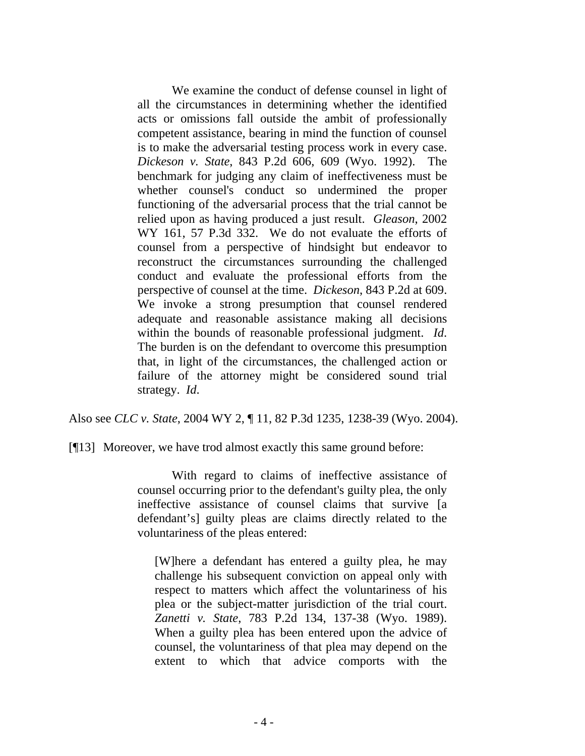We examine the conduct of defense counsel in light of all the circumstances in determining whether the identified acts or omissions fall outside the ambit of professionally competent assistance, bearing in mind the function of counsel is to make the adversarial testing process work in every case. *Dickeson v. State*, 843 P.2d 606, 609 (Wyo. 1992). The benchmark for judging any claim of ineffectiveness must be whether counsel's conduct so undermined the proper functioning of the adversarial process that the trial cannot be relied upon as having produced a just result. *Gleason*, 2002 WY 161, 57 P.3d 332. We do not evaluate the efforts of counsel from a perspective of hindsight but endeavor to reconstruct the circumstances surrounding the challenged conduct and evaluate the professional efforts from the perspective of counsel at the time. *Dickeson*, 843 P.2d at 609. We invoke a strong presumption that counsel rendered adequate and reasonable assistance making all decisions within the bounds of reasonable professional judgment. *Id*. The burden is on the defendant to overcome this presumption that, in light of the circumstances, the challenged action or failure of the attorney might be considered sound trial strategy. *Id*.

Also see *CLC v. State*, 2004 WY 2, ¶ 11, 82 P.3d 1235, 1238-39 (Wyo. 2004).

[¶13] Moreover, we have trod almost exactly this same ground before:

With regard to claims of ineffective assistance of counsel occurring prior to the defendant's guilty plea, the only ineffective assistance of counsel claims that survive [a defendant's] guilty pleas are claims directly related to the voluntariness of the pleas entered:

[W]here a defendant has entered a guilty plea, he may challenge his subsequent conviction on appeal only with respect to matters which affect the voluntariness of his plea or the subject-matter jurisdiction of the trial court. *Zanetti v. State*, 783 P.2d 134, 137-38 (Wyo. 1989). When a guilty plea has been entered upon the advice of counsel, the voluntariness of that plea may depend on the extent to which that advice comports with the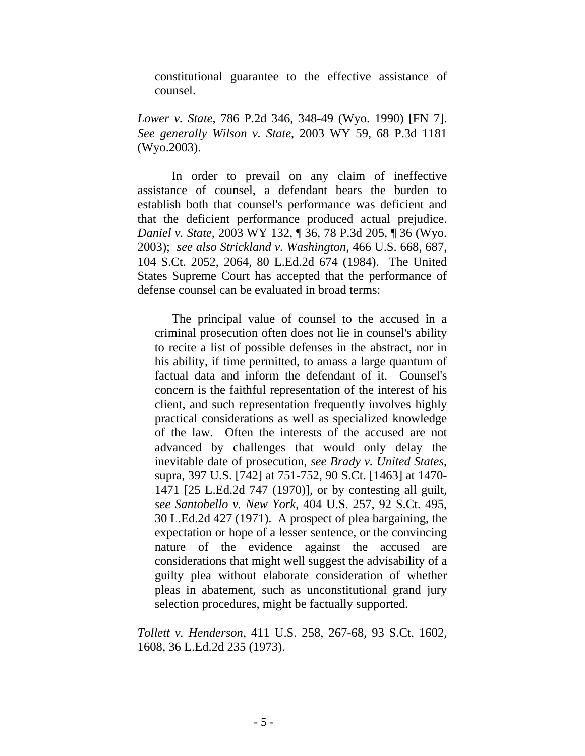constitutional guarantee to the effective assistance of counsel.

*Lower v. State*, 786 P.2d 346, 348-49 (Wyo. 1990) [FN 7]. *See generally Wilson v. State*, 2003 WY 59, 68 P.3d 1181 (Wyo.2003).

 In order to prevail on any claim of ineffective assistance of counsel, a defendant bears the burden to establish both that counsel's performance was deficient and that the deficient performance produced actual prejudice. *Daniel v. State*, 2003 WY 132, ¶ 36, 78 P.3d 205, ¶ 36 (Wyo. 2003); *see also Strickland v. Washington*, 466 U.S. 668, 687, 104 S.Ct. 2052, 2064, 80 L.Ed.2d 674 (1984). The United States Supreme Court has accepted that the performance of defense counsel can be evaluated in broad terms:

 The principal value of counsel to the accused in a criminal prosecution often does not lie in counsel's ability to recite a list of possible defenses in the abstract, nor in his ability, if time permitted, to amass a large quantum of factual data and inform the defendant of it. Counsel's concern is the faithful representation of the interest of his client, and such representation frequently involves highly practical considerations as well as specialized knowledge of the law. Often the interests of the accused are not advanced by challenges that would only delay the inevitable date of prosecution, *see Brady v. United States*, supra, 397 U.S. [742] at 751-752, 90 S.Ct. [1463] at 1470- 1471 [25 L.Ed.2d 747 (1970)], or by contesting all guilt, *see Santobello v. New York*, 404 U.S. 257, 92 S.Ct. 495, 30 L.Ed.2d 427 (1971). A prospect of plea bargaining, the expectation or hope of a lesser sentence, or the convincing nature of the evidence against the accused are considerations that might well suggest the advisability of a guilty plea without elaborate consideration of whether pleas in abatement, such as unconstitutional grand jury selection procedures, might be factually supported.

*Tollett v. Henderson*, 411 U.S. 258, 267-68, 93 S.Ct. 1602, 1608, 36 L.Ed.2d 235 (1973).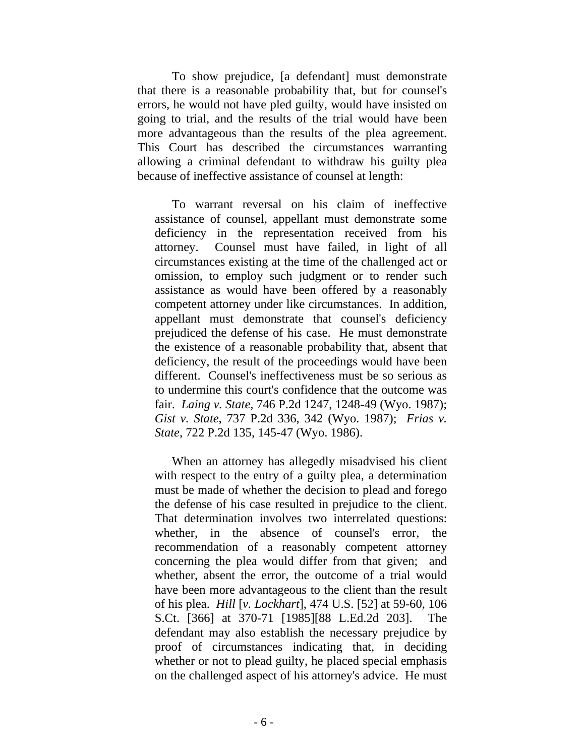To show prejudice, [a defendant] must demonstrate that there is a reasonable probability that, but for counsel's errors, he would not have pled guilty, would have insisted on going to trial, and the results of the trial would have been more advantageous than the results of the plea agreement. This Court has described the circumstances warranting allowing a criminal defendant to withdraw his guilty plea because of ineffective assistance of counsel at length:

 To warrant reversal on his claim of ineffective assistance of counsel, appellant must demonstrate some deficiency in the representation received from his attorney. Counsel must have failed, in light of all circumstances existing at the time of the challenged act or omission, to employ such judgment or to render such assistance as would have been offered by a reasonably competent attorney under like circumstances. In addition, appellant must demonstrate that counsel's deficiency prejudiced the defense of his case. He must demonstrate the existence of a reasonable probability that, absent that deficiency, the result of the proceedings would have been different. Counsel's ineffectiveness must be so serious as to undermine this court's confidence that the outcome was fair. *Laing v. State*, 746 P.2d 1247, 1248-49 (Wyo. 1987); *Gist v. State*, 737 P.2d 336, 342 (Wyo. 1987); *Frias v. State*, 722 P.2d 135, 145-47 (Wyo. 1986).

 When an attorney has allegedly misadvised his client with respect to the entry of a guilty plea, a determination must be made of whether the decision to plead and forego the defense of his case resulted in prejudice to the client. That determination involves two interrelated questions: whether, in the absence of counsel's error, the recommendation of a reasonably competent attorney concerning the plea would differ from that given; and whether, absent the error, the outcome of a trial would have been more advantageous to the client than the result of his plea. *Hill* [*v. Lockhart*], 474 U.S. [52] at 59-60, 106 S.Ct. [366] at 370-71 [1985][88 L.Ed.2d 203]. The defendant may also establish the necessary prejudice by proof of circumstances indicating that, in deciding whether or not to plead guilty, he placed special emphasis on the challenged aspect of his attorney's advice. He must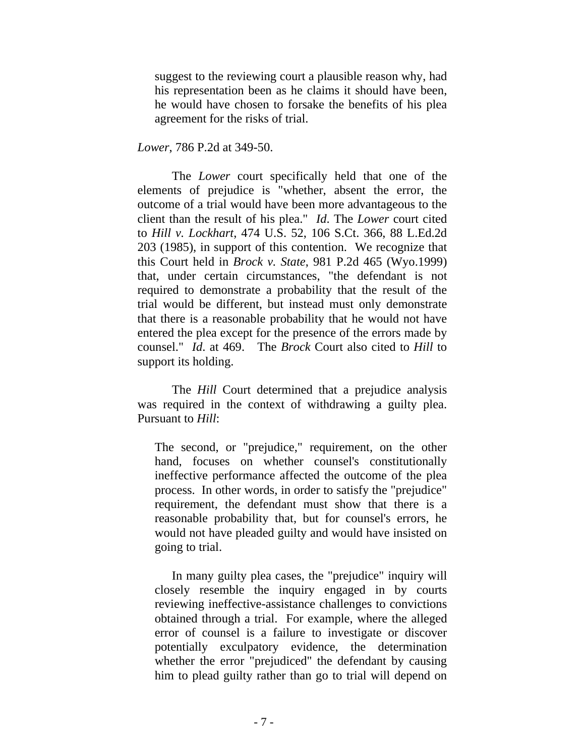suggest to the reviewing court a plausible reason why, had his representation been as he claims it should have been, he would have chosen to forsake the benefits of his plea agreement for the risks of trial.

*Lower*, 786 P.2d at 349-50.

 The *Lower* court specifically held that one of the elements of prejudice is "whether, absent the error, the outcome of a trial would have been more advantageous to the client than the result of his plea." *Id*. The *Lower* court cited to *Hill v. Lockhart*, 474 U.S. 52, 106 S.Ct. 366, 88 L.Ed.2d 203 (1985), in support of this contention. We recognize that this Court held in *Brock v. State*, 981 P.2d 465 (Wyo.1999) that, under certain circumstances, "the defendant is not required to demonstrate a probability that the result of the trial would be different, but instead must only demonstrate that there is a reasonable probability that he would not have entered the plea except for the presence of the errors made by counsel." *Id*. at 469. The *Brock* Court also cited to *Hill* to support its holding.

 The *Hill* Court determined that a prejudice analysis was required in the context of withdrawing a guilty plea. Pursuant to *Hill*:

The second, or "prejudice," requirement, on the other hand, focuses on whether counsel's constitutionally ineffective performance affected the outcome of the plea process. In other words, in order to satisfy the "prejudice" requirement, the defendant must show that there is a reasonable probability that, but for counsel's errors, he would not have pleaded guilty and would have insisted on going to trial.

 In many guilty plea cases, the "prejudice" inquiry will closely resemble the inquiry engaged in by courts reviewing ineffective-assistance challenges to convictions obtained through a trial. For example, where the alleged error of counsel is a failure to investigate or discover potentially exculpatory evidence, the determination whether the error "prejudiced" the defendant by causing him to plead guilty rather than go to trial will depend on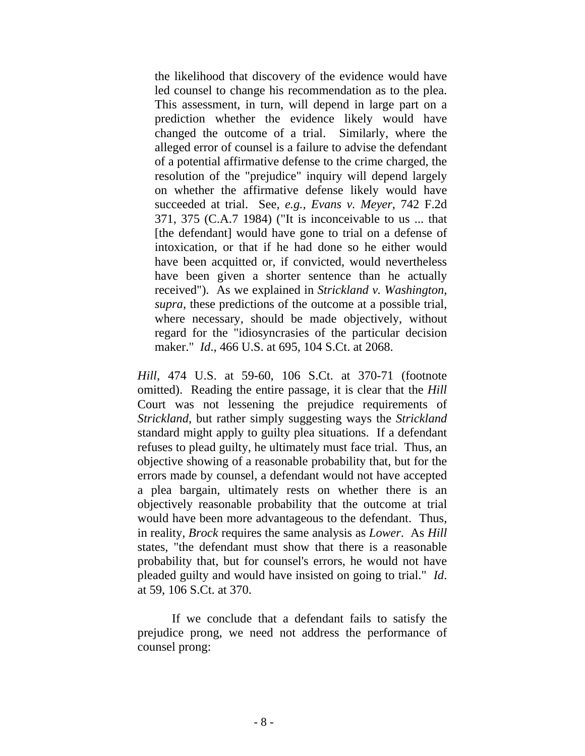the likelihood that discovery of the evidence would have led counsel to change his recommendation as to the plea. This assessment, in turn, will depend in large part on a prediction whether the evidence likely would have changed the outcome of a trial. Similarly, where the alleged error of counsel is a failure to advise the defendant of a potential affirmative defense to the crime charged, the resolution of the "prejudice" inquiry will depend largely on whether the affirmative defense likely would have succeeded at trial. See, *e.g., Evans v. Meyer*, 742 F.2d 371, 375 (C.A.7 1984) ("It is inconceivable to us ... that [the defendant] would have gone to trial on a defense of intoxication, or that if he had done so he either would have been acquitted or, if convicted, would nevertheless have been given a shorter sentence than he actually received"). As we explained in *Strickland v. Washington, supra*, these predictions of the outcome at a possible trial, where necessary, should be made objectively, without regard for the "idiosyncrasies of the particular decision maker." *Id*., 466 U.S. at 695, 104 S.Ct. at 2068.

*Hill*, 474 U.S. at 59-60, 106 S.Ct. at 370-71 (footnote omitted). Reading the entire passage, it is clear that the *Hill* Court was not lessening the prejudice requirements of *Strickland*, but rather simply suggesting ways the *Strickland* standard might apply to guilty plea situations. If a defendant refuses to plead guilty, he ultimately must face trial. Thus, an objective showing of a reasonable probability that, but for the errors made by counsel, a defendant would not have accepted a plea bargain, ultimately rests on whether there is an objectively reasonable probability that the outcome at trial would have been more advantageous to the defendant. Thus, in reality, *Brock* requires the same analysis as *Lower*. As *Hill* states, "the defendant must show that there is a reasonable probability that, but for counsel's errors, he would not have pleaded guilty and would have insisted on going to trial." *Id*. at 59, 106 S.Ct. at 370.

 If we conclude that a defendant fails to satisfy the prejudice prong, we need not address the performance of counsel prong: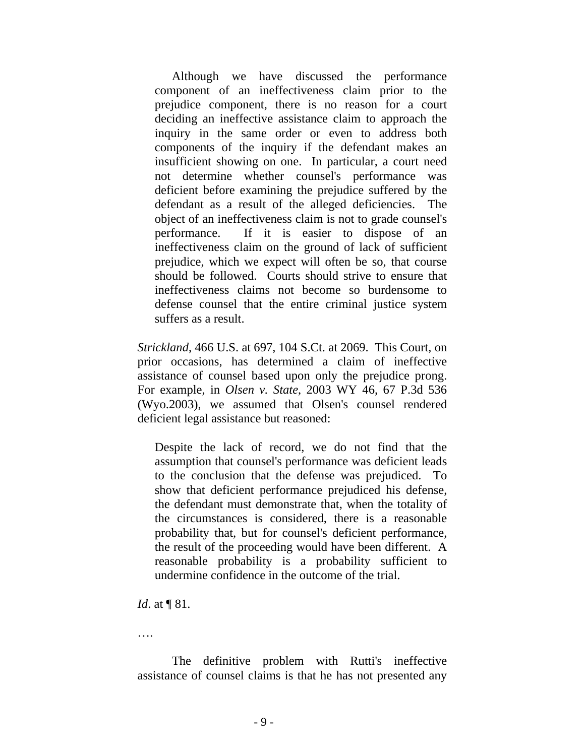Although we have discussed the performance component of an ineffectiveness claim prior to the prejudice component, there is no reason for a court deciding an ineffective assistance claim to approach the inquiry in the same order or even to address both components of the inquiry if the defendant makes an insufficient showing on one. In particular, a court need not determine whether counsel's performance was deficient before examining the prejudice suffered by the defendant as a result of the alleged deficiencies. The object of an ineffectiveness claim is not to grade counsel's performance. If it is easier to dispose of an ineffectiveness claim on the ground of lack of sufficient prejudice, which we expect will often be so, that course should be followed. Courts should strive to ensure that ineffectiveness claims not become so burdensome to defense counsel that the entire criminal justice system suffers as a result.

*Strickland*, 466 U.S. at 697, 104 S.Ct. at 2069. This Court, on prior occasions, has determined a claim of ineffective assistance of counsel based upon only the prejudice prong. For example, in *Olsen v. State*, 2003 WY 46, 67 P.3d 536 (Wyo.2003), we assumed that Olsen's counsel rendered deficient legal assistance but reasoned:

Despite the lack of record, we do not find that the assumption that counsel's performance was deficient leads to the conclusion that the defense was prejudiced. To show that deficient performance prejudiced his defense, the defendant must demonstrate that, when the totality of the circumstances is considered, there is a reasonable probability that, but for counsel's deficient performance, the result of the proceeding would have been different. A reasonable probability is a probability sufficient to undermine confidence in the outcome of the trial.

*Id.* at **[81.**]

….

 The definitive problem with Rutti's ineffective assistance of counsel claims is that he has not presented any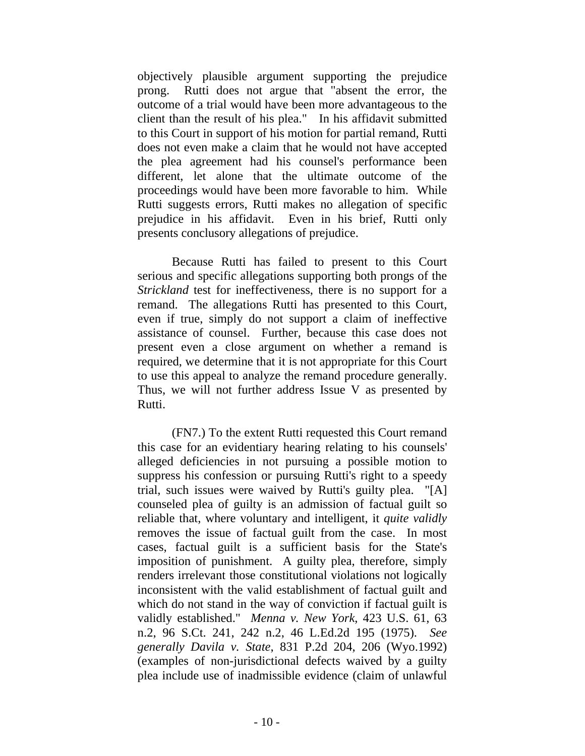objectively plausible argument supporting the prejudice prong. Rutti does not argue that "absent the error, the outcome of a trial would have been more advantageous to the client than the result of his plea." In his affidavit submitted to this Court in support of his motion for partial remand, Rutti does not even make a claim that he would not have accepted the plea agreement had his counsel's performance been different, let alone that the ultimate outcome of the proceedings would have been more favorable to him. While Rutti suggests errors, Rutti makes no allegation of specific prejudice in his affidavit. Even in his brief, Rutti only presents conclusory allegations of prejudice.

Because Rutti has failed to present to this Court serious and specific allegations supporting both prongs of the *Strickland* test for ineffectiveness, there is no support for a remand. The allegations Rutti has presented to this Court, even if true, simply do not support a claim of ineffective assistance of counsel. Further, because this case does not present even a close argument on whether a remand is required, we determine that it is not appropriate for this Court to use this appeal to analyze the remand procedure generally. Thus, we will not further address Issue V as presented by Rutti.

 (FN7.) To the extent Rutti requested this Court remand this case for an evidentiary hearing relating to his counsels' alleged deficiencies in not pursuing a possible motion to suppress his confession or pursuing Rutti's right to a speedy trial, such issues were waived by Rutti's guilty plea. "[A] counseled plea of guilty is an admission of factual guilt so reliable that, where voluntary and intelligent, it *quite validly* removes the issue of factual guilt from the case. In most cases, factual guilt is a sufficient basis for the State's imposition of punishment. A guilty plea, therefore, simply renders irrelevant those constitutional violations not logically inconsistent with the valid establishment of factual guilt and which do not stand in the way of conviction if factual guilt is validly established." *Menna v. New York*, 423 U.S. 61, 63 n.2, 96 S.Ct. 241, 242 n.2, 46 L.Ed.2d 195 (1975). *See generally Davila v. State*, 831 P.2d 204, 206 (Wyo.1992) (examples of non-jurisdictional defects waived by a guilty plea include use of inadmissible evidence (claim of unlawful